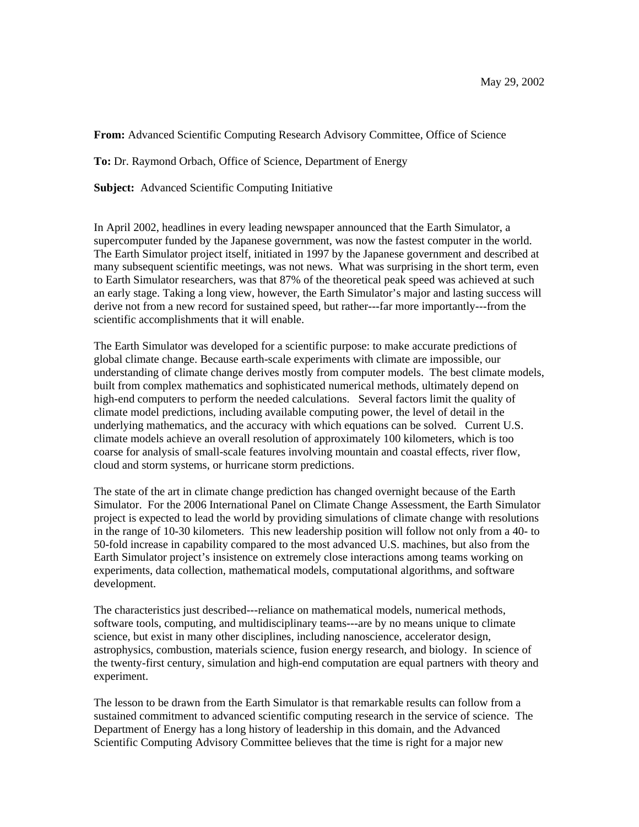**From:** Advanced Scientific Computing Research Advisory Committee, Office of Science

**To:** Dr. Raymond Orbach, Office of Science, Department of Energy

**Subject:** Advanced Scientific Computing Initiative

In April 2002, headlines in every leading newspaper announced that the Earth Simulator, a supercomputer funded by the Japanese government, was now the fastest computer in the world. The Earth Simulator project itself, initiated in 1997 by the Japanese government and described at many subsequent scientific meetings, was not news. What was surprising in the short term, even to Earth Simulator researchers, was that 87% of the theoretical peak speed was achieved at such an early stage. Taking a long view, however, the Earth Simulator's major and lasting success will derive not from a new record for sustained speed, but rather---far more importantly---from the scientific accomplishments that it will enable.

The Earth Simulator was developed for a scientific purpose: to make accurate predictions of global climate change. Because earth-scale experiments with climate are impossible, our understanding of climate change derives mostly from computer models. The best climate models, built from complex mathematics and sophisticated numerical methods, ultimately depend on high-end computers to perform the needed calculations. Several factors limit the quality of climate model predictions, including available computing power, the level of detail in the underlying mathematics, and the accuracy with which equations can be solved. Current U.S. climate models achieve an overall resolution of approximately 100 kilometers, which is too coarse for analysis of small-scale features involving mountain and coastal effects, river flow, cloud and storm systems, or hurricane storm predictions.

The state of the art in climate change prediction has changed overnight because of the Earth Simulator. For the 2006 International Panel on Climate Change Assessment, the Earth Simulator project is expected to lead the world by providing simulations of climate change with resolutions in the range of 10-30 kilometers. This new leadership position will follow not only from a 40- to 50-fold increase in capability compared to the most advanced U.S. machines, but also from the Earth Simulator project's insistence on extremely close interactions among teams working on experiments, data collection, mathematical models, computational algorithms, and software development.

The characteristics just described---reliance on mathematical models, numerical methods, software tools, computing, and multidisciplinary teams---are by no means unique to climate science, but exist in many other disciplines, including nanoscience, accelerator design, astrophysics, combustion, materials science, fusion energy research, and biology. In science of the twenty-first century, simulation and high-end computation are equal partners with theory and experiment.

The lesson to be drawn from the Earth Simulator is that remarkable results can follow from a sustained commitment to advanced scientific computing research in the service of science. The Department of Energy has a long history of leadership in this domain, and the Advanced Scientific Computing Advisory Committee believes that the time is right for a major new